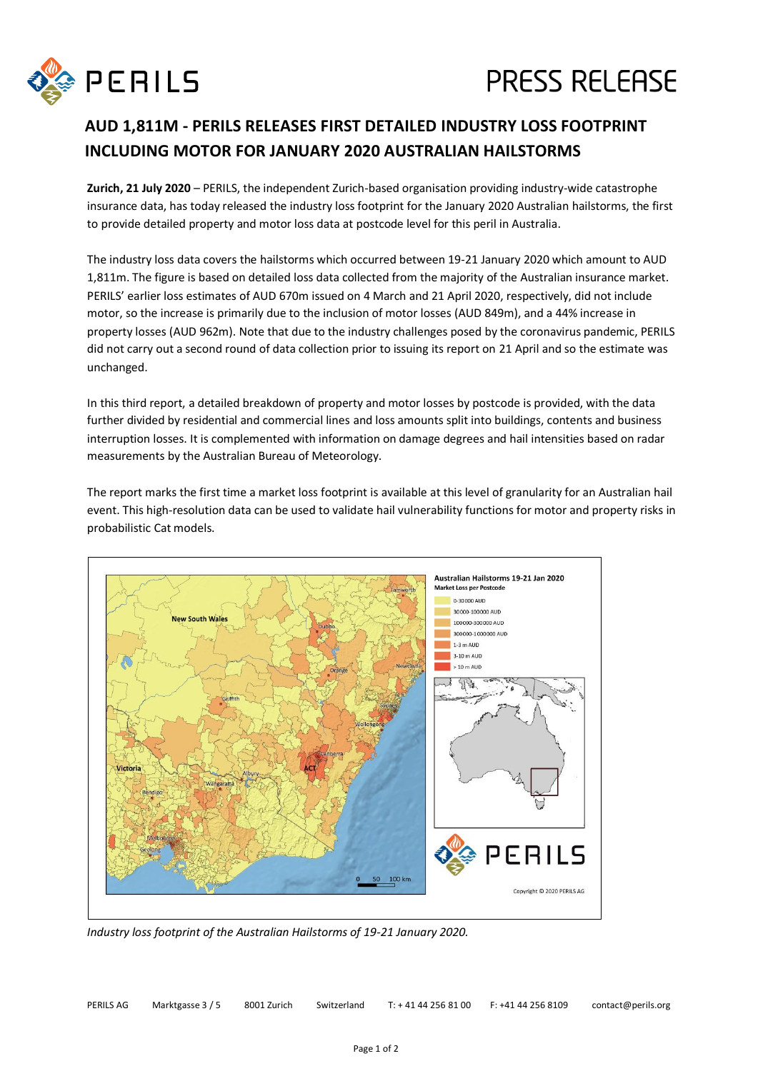

## **PRESS RELEASE**

## **AUD 1,811M - PERILS RELEASES FIRST DETAILED INDUSTRY LOSS FOOTPRINT INCLUDING MOTOR FOR JANUARY 2020 AUSTRALIAN HAILSTORMS**

**Zurich, 21 July 2020** – PERILS, the independent Zurich-based organisation providing industry-wide catastrophe insurance data, has today released the industry loss footprint for the January 2020 Australian hailstorms, the first to provide detailed property and motor loss data at postcode level for this peril in Australia.

The industry loss data covers the hailstorms which occurred between 19-21 January 2020 which amount to AUD 1,811m. The figure is based on detailed loss data collected from the majority of the Australian insurance market. PERILS' earlier loss estimates of AUD 670m issued on 4 March and 21 April 2020, respectively, did not include motor, so the increase is primarily due to the inclusion of motor losses (AUD 849m), and a 44% increase in property losses (AUD 962m). Note that due to the industry challenges posed by the coronavirus pandemic, PERILS did not carry out a second round of data collection prior to issuing its report on 21 April and so the estimate was unchanged.

In this third report, a detailed breakdown of property and motor losses by postcode is provided, with the data further divided by residential and commercial lines and loss amounts split into buildings, contents and business interruption losses. It is complemented with information on damage degrees and hail intensities based on radar measurements by the Australian Bureau of Meteorology.

The report marks the first time a market loss footprint is available at this level of granularity for an Australian hail event. This high-resolution data can be used to validate hail vulnerability functions for motor and property risks in probabilistic Cat models.



*Industry loss footprint of the Australian Hailstorms of 19-21 January 2020.*